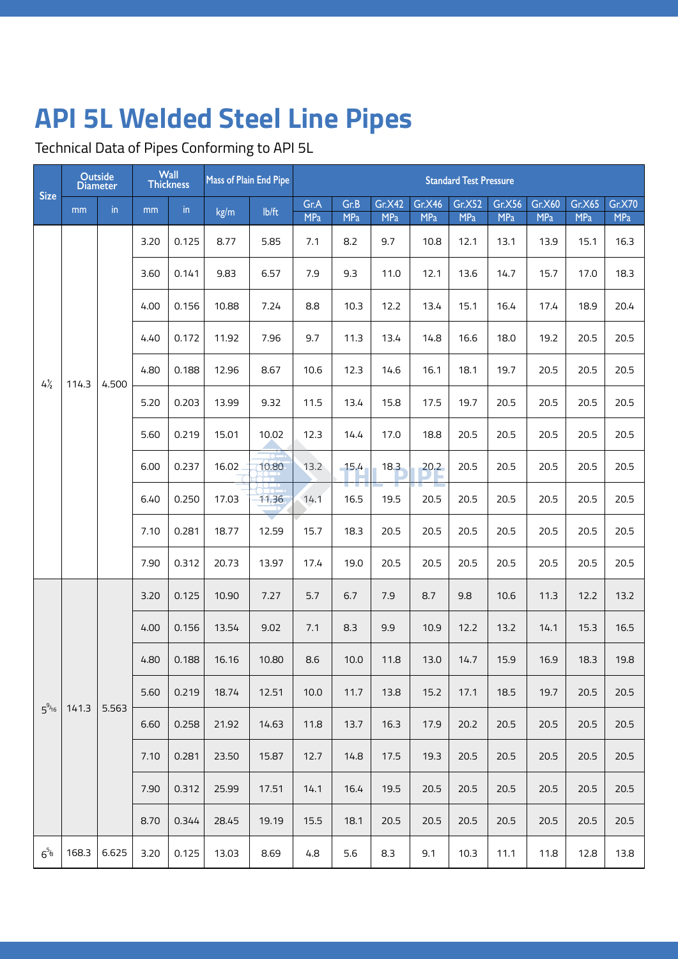Technical Data of Pipes Conforming to API 5L

|                      |       | <b>Outside</b><br><b>Diameter</b> |      | Wall<br><b>Thickness</b> | <b>Mass of Plain End Pipe</b> |       |                    |                    |                      |                             | <b>Standard Test Pressure</b> |                      |                      |                      |                             |
|----------------------|-------|-----------------------------------|------|--------------------------|-------------------------------|-------|--------------------|--------------------|----------------------|-----------------------------|-------------------------------|----------------------|----------------------|----------------------|-----------------------------|
| <b>Size</b>          | mm    | in                                | mm   | in                       | kg/m                          | Ib/ft | Gr.A<br><b>MPa</b> | Gr.B<br><b>MPa</b> | Gr.X42<br><b>MPa</b> | <b>Gr.X46</b><br><b>MPa</b> | Gr.X52<br><b>MPa</b>          | Gr.X56<br><b>MPa</b> | Gr.X60<br><b>MPa</b> | Gr.X65<br><b>MPa</b> | <b>Gr.X70</b><br><b>MPa</b> |
|                      |       |                                   | 3.20 | 0.125                    | 8.77                          | 5.85  | 7.1                | 8.2                | 9.7                  | 10.8                        | 12.1                          | 13.1                 | 13.9                 | 15.1                 | 16.3                        |
|                      |       |                                   | 3.60 | 0.141                    | 9.83                          | 6.57  | 7.9                | 9.3                | 11.0                 | 12.1                        | 13.6                          | 14.7                 | 15.7                 | 17.0                 | 18.3                        |
|                      |       |                                   | 4.00 | 0.156                    | 10.88                         | 7.24  | 8.8                | 10.3               | 12.2                 | 13.4                        | 15.1                          | 16.4                 | 17.4                 | 18.9                 | 20.4                        |
|                      |       |                                   | 4.40 | 0.172                    | 11.92                         | 7.96  | 9.7                | 11.3               | 13.4                 | 14.8                        | 16.6                          | 18.0                 | 19.2                 | 20.5                 | 20.5                        |
| $4\frac{1}{2}$       | 114.3 | 4.500                             | 4.80 | 0.188                    | 12.96                         | 8.67  | 10.6               | 12.3               | 14.6                 | 16.1                        | 18.1                          | 19.7                 | 20.5                 | 20.5                 | 20.5                        |
|                      |       |                                   | 5.20 | 0.203                    | 13.99                         | 9.32  | 11.5               | 13.4               | 15.8                 | 17.5                        | 19.7                          | 20.5                 | 20.5                 | 20.5                 | 20.5                        |
|                      |       |                                   | 5.60 | 0.219                    | 15.01                         | 10.02 | 12.3               | 14.4               | 17.0                 | 18.8                        | 20.5                          | 20.5                 | 20.5                 | 20.5                 | 20.5                        |
|                      |       |                                   | 6.00 | 0.237                    | 16.02                         | 10.80 | 13.2               | 15.4               | 18.3                 | 20.2                        | 20.5                          | 20.5                 | 20.5                 | 20.5                 | 20.5                        |
|                      |       |                                   | 6.40 | 0.250                    | 17.03                         | 11.36 | 14.1               | a sa T<br>16.5     | 19.5                 | 20.5                        | 20.5                          | 20.5                 | 20.5                 | 20.5                 | 20.5                        |
|                      |       |                                   | 7.10 | 0.281                    | 18.77                         | 12.59 | 15.7               | 18.3               | 20.5                 | 20.5                        | 20.5                          | 20.5                 | 20.5                 | 20.5                 | 20.5                        |
|                      |       |                                   | 7.90 | 0.312                    | 20.73                         | 13.97 | 17.4               | 19.0               | 20.5                 | 20.5                        | 20.5                          | 20.5                 | 20.5                 | 20.5                 | 20.5                        |
|                      |       |                                   | 3.20 | 0.125                    | 10.90                         | 7.27  | 5.7                | 6.7                | 7.9                  | 8.7                         | 9.8                           | 10.6                 | 11.3                 | 12.2                 | 13.2                        |
|                      |       |                                   | 4.00 | 0.156                    | 13.54                         | 9.02  | 7.1                | 8.3                | 9.9                  | 10.9                        | 12.2                          | 13.2                 | 14.1                 | 15.3                 | 16.5                        |
|                      |       |                                   | 4.80 | 0.188                    | 16.16                         | 10.80 | 8.6                | 10.0               | 11.8                 | 13.0                        | 14.7                          | 15.9                 | 16.9                 | 18.3                 | 19.8                        |
| $5^{9/16}$           | 141.3 | 5.563                             | 5.60 | 0.219                    | 18.74                         | 12.51 | 10.0               | 11.7               | 13.8                 | 15.2                        | 17.1                          | 18.5                 | 19.7                 | 20.5                 | 20.5                        |
|                      |       |                                   | 6.60 | 0.258                    | 21.92                         | 14.63 | 11.8               | 13.7               | 16.3                 | 17.9                        | 20.2                          | 20.5                 | 20.5                 | 20.5                 | 20.5                        |
|                      |       |                                   | 7.10 | 0.281                    | 23.50                         | 15.87 | 12.7               | 14.8               | 17.5                 | 19.3                        | 20.5                          | 20.5                 | 20.5                 | 20.5                 | 20.5                        |
|                      |       |                                   | 7.90 | 0.312                    | 25.99                         | 17.51 | 14.1               | 16.4               | 19.5                 | 20.5                        | 20.5                          | 20.5                 | 20.5                 | 20.5                 | 20.5                        |
|                      |       |                                   | 8.70 | 0.344                    | 28.45                         | 19.19 | 15.5               | 18.1               | 20.5                 | 20.5                        | 20.5                          | 20.5                 | 20.5                 | 20.5                 | 20.5                        |
| $6^{5}$ <sup>6</sup> | 168.3 | 6.625                             | 3.20 | 0.125                    | 13.03                         | 8.69  | 4.8                | 5.6                | 8.3                  | 9.1                         | 10.3                          | 11.1                 | 11.8                 | 12.8                 | 13.8                        |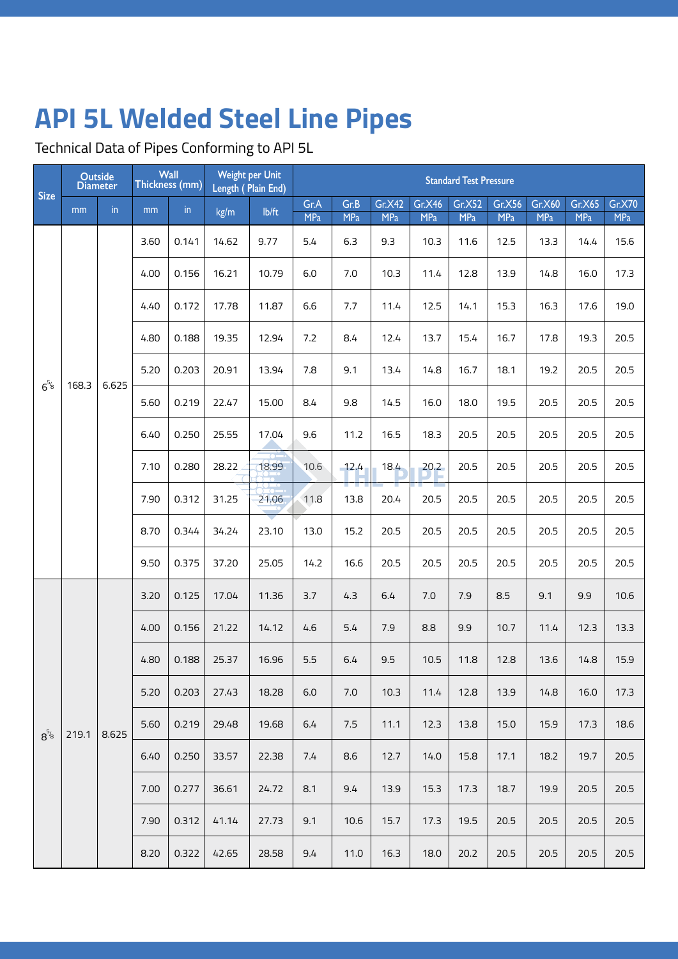Technical Data of Pipes Conforming to API 5L

|             | <b>Outside</b><br><b>Diameter</b> |               |      | Wall<br>Thickness (mm) |                                  | Weight per Unit<br>Length (Plain End) |                    | <b>Standard Test Pressure</b><br>Gr.X42 Gr.X46 Gr.X52 Gr.X56 Gr.X60 Gr.X65 Gr.X70 |            |      |      |      |      |      |      |  |
|-------------|-----------------------------------|---------------|------|------------------------|----------------------------------|---------------------------------------|--------------------|-----------------------------------------------------------------------------------|------------|------|------|------|------|------|------|--|
| <b>Size</b> | mm                                | $\mathsf{in}$ | mm   | $\mathsf{in}$          | kg/m                             | $I\rightarrow I$                      | Gr.A<br><b>MPa</b> | Gr.B<br><b>MPa</b>                                                                | <b>MPa</b> | MPa  | MPa  | MPa  | MPa  | MPa  | MPa  |  |
|             |                                   |               | 3.60 | 0.141                  | 14.62                            | 9.77                                  | 5.4                | 6.3                                                                               | 9.3        | 10.3 | 11.6 | 12.5 | 13.3 | 14.4 | 15.6 |  |
|             |                                   |               | 4.00 | 0.156                  | 16.21                            | 10.79                                 | 6.0                | 7.0                                                                               | 10.3       | 11.4 | 12.8 | 13.9 | 14.8 | 16.0 | 17.3 |  |
|             |                                   |               | 4.40 | 0.172                  | 17.78                            | 11.87                                 | 6.6                | 7.7                                                                               | 11.4       | 12.5 | 14.1 | 15.3 | 16.3 | 17.6 | 19.0 |  |
|             |                                   |               | 4.80 | 0.188                  | 19.35                            | 12.94                                 | 7.2                | 8.4                                                                               | 12.4       | 13.7 | 15.4 | 16.7 | 17.8 | 19.3 | 20.5 |  |
| $6^{5/6}$   | 168.3   6.625                     |               | 5.20 | 0.203                  | 20.91                            | 13.94                                 | 7.8                | 9.1                                                                               | 13.4       | 14.8 | 16.7 | 18.1 | 19.2 | 20.5 | 20.5 |  |
|             |                                   |               | 5.60 | 0.219                  | 22.47                            | 15.00                                 | 8.4                | 9.8                                                                               | 14.5       | 16.0 | 18.0 | 19.5 | 20.5 | 20.5 | 20.5 |  |
|             |                                   |               | 6.40 | 0.250                  | 25.55                            | 17.04                                 | 9.6                | 11.2                                                                              | 16.5       | 18.3 | 20.5 | 20.5 | 20.5 | 20.5 | 20.5 |  |
|             |                                   |               | 7.10 | 0.280                  | 28.22                            | 18.99                                 | 10.6               | 12.4                                                                              | 18.4       | 20.2 | 20.5 | 20.5 | 20.5 | 20.5 | 20.5 |  |
|             |                                   |               | 7.90 |                        | $0.312$ 31.25                    | 21.06                                 | 11.8               | 13.8                                                                              | 20.4       | 20.5 | 20.5 | 20.5 | 20.5 | 20.5 | 20.5 |  |
|             |                                   |               | 8.70 | 0.344                  | 34.24                            | 23.10                                 | 13.0               | 15.2                                                                              | 20.5       | 20.5 | 20.5 | 20.5 | 20.5 | 20.5 | 20.5 |  |
|             |                                   |               | 9.50 | 0.375                  | 37.20                            | 25.05                                 | 14.2               | 16.6                                                                              | 20.5       | 20.5 | 20.5 | 20.5 | 20.5 | 20.5 | 20.5 |  |
|             |                                   |               | 3.20 | 0.125                  | 17.04                            | 11.36                                 | 3.7                | 4.3                                                                               | 6.4        | 7.0  | 7.9  | 8.5  | 9.1  | 9.9  | 10.6 |  |
|             |                                   |               | 4.00 | 0.156                  | 21.22                            | 14.12                                 | 4.6                | 5.4                                                                               | 7.9        | 8.8  | 9.9  | 10.7 | 11.4 | 12.3 | 13.3 |  |
|             |                                   |               | 4.80 | 0.188                  | 25.37                            | 16.96                                 | 5.5                | 6.4                                                                               | 9.5        | 10.5 | 11.8 | 12.8 | 13.6 | 14.8 | 15.9 |  |
|             |                                   |               |      |                        | $5.20$   0.203   27.43           | 18.28                                 | 6.0                | 7.0                                                                               | 10.3       | 11.4 | 12.8 | 13.9 | 14.8 | 16.0 | 17.3 |  |
|             | $8^{5/6}$ 219.1 8.625             |               |      |                        | $5.60$ 0.219 29.48               | 19.68                                 | 6.4                | 7.5                                                                               | 11.1       | 12.3 | 13.8 | 15.0 | 15.9 | 17.3 | 18.6 |  |
|             |                                   |               |      |                        | $6.40$   0.250   33.57           | 22.38                                 | 7.4                | 8.6                                                                               | 12.7       | 14.0 | 15.8 | 17.1 | 18.2 | 19.7 | 20.5 |  |
|             |                                   |               |      | 7.00   0.277           | 36.61                            | 24.72                                 | 8.1                | 9.4                                                                               | 13.9       | 15.3 | 17.3 | 18.7 | 19.9 | 20.5 | 20.5 |  |
|             |                                   |               |      |                        | 7.90 $\vert$ 0.312 $\vert$ 41.14 | 27.73                                 | 9.1                | 10.6                                                                              | 15.7       | 17.3 | 19.5 | 20.5 | 20.5 | 20.5 | 20.5 |  |
|             |                                   |               |      |                        | 8.20   0.322   42.65             | 28.58                                 | 9.4                | 11.0                                                                              | 16.3       | 18.0 | 20.2 | 20.5 | 20.5 | 20.5 | 20.5 |  |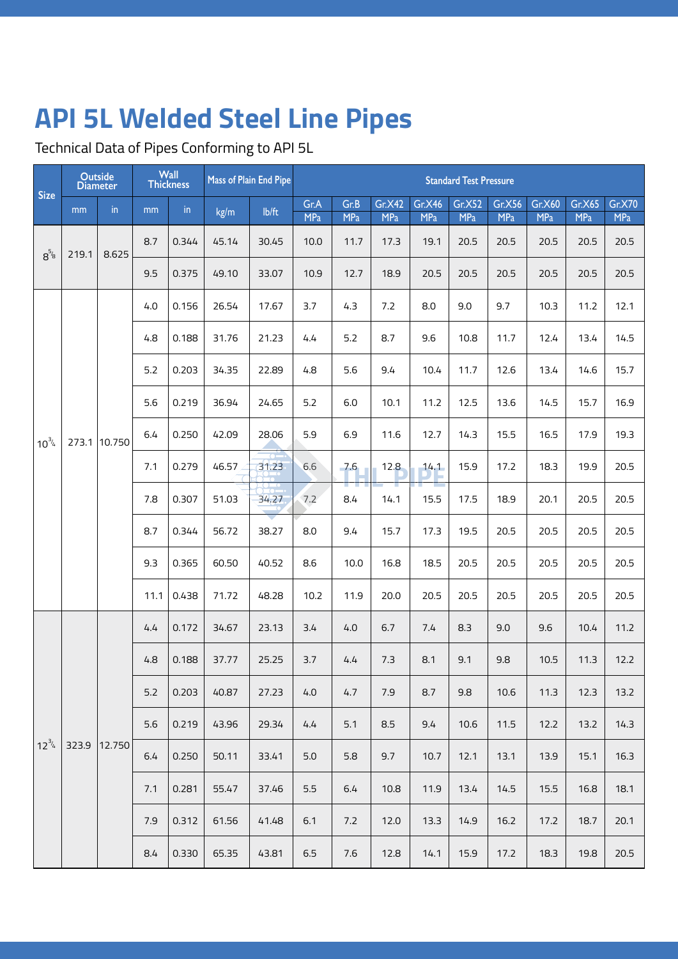Technical Data of Pipes Conforming to API 5L

|             |       | <b>Outside</b><br><b>Diameter</b> |      | Wall<br><b>Thickness</b> |       | Mass of Plain End Pipe |                    |                                      |                      |                             | <b>Standard Test Pressure</b> |                      |                             |                      |                      |
|-------------|-------|-----------------------------------|------|--------------------------|-------|------------------------|--------------------|--------------------------------------|----------------------|-----------------------------|-------------------------------|----------------------|-----------------------------|----------------------|----------------------|
| <b>Size</b> | mm    | in                                | mm   | $\mathsf{in}$            | kg/m  | lb/ft                  | Gr.A<br><b>MPa</b> | Gr.B<br><b>MPa</b>                   | Gr.X42<br><b>MPa</b> | <b>Gr.X46</b><br><b>MPa</b> | Gr.X52<br><b>MPa</b>          | Gr.X56<br><b>MPa</b> | <b>Gr.X60</b><br><b>MPa</b> | Gr.X65<br><b>MPa</b> | Gr.X70<br><b>MPa</b> |
| $8^{5/8}$   | 219.1 | 8.625                             | 8.7  | 0.344                    | 45.14 | 30.45                  | 10.0               | 11.7                                 | 17.3                 | 19.1                        | 20.5                          | 20.5                 | 20.5                        | 20.5                 | 20.5                 |
|             |       |                                   | 9.5  | 0.375                    | 49.10 | 33.07                  | 10.9               | 12.7                                 | 18.9                 | 20.5                        | 20.5                          | 20.5                 | 20.5                        | 20.5                 | 20.5                 |
|             |       |                                   | 4.0  | 0.156                    | 26.54 | 17.67                  | 3.7                | 4.3                                  | 7.2                  | 8.0                         | 9.0                           | 9.7                  | 10.3                        | 11.2                 | 12.1                 |
|             |       |                                   | 4.8  | 0.188                    | 31.76 | 21.23                  | 4.4                | 5.2                                  | 8.7                  | 9.6                         | 10.8                          | 11.7                 | 12.4                        | 13.4                 | 14.5                 |
|             |       |                                   | 5.2  | 0.203                    | 34.35 | 22.89                  | 4.8                | 5.6                                  | 9.4                  | 10.4                        | 11.7                          | 12.6                 | 13.4                        | 14.6                 | 15.7                 |
|             |       |                                   | 5.6  | 0.219                    | 36.94 | 24.65                  | 5.2                | 6.0                                  | 10.1                 | 11.2                        | 12.5                          | 13.6                 | 14.5                        | 15.7                 | 16.9                 |
| $10^{3/4}$  |       | 273.1 10.750                      | 6.4  | 0.250                    | 42.09 | 28.06                  | 5.9                | 6.9                                  | 11.6                 | 12.7                        | 14.3                          | 15.5                 | 16.5                        | 17.9                 | 19.3                 |
|             |       |                                   | 7.1  | 0.279                    | 46.57 | 31.23                  | 6.6                | 7.6                                  | 12.8                 | 14.1                        | 15.9                          | 17.2                 | 18.3                        | 19.9                 | 20.5                 |
|             |       |                                   | 7.8  | 0.307                    | 51.03 | 34.27                  | 7.2                | <b>The Contract of Street</b><br>8.4 | 14.1                 | 15.5                        | 17.5                          | 18.9                 | 20.1                        | 20.5                 | 20.5                 |
|             |       |                                   | 8.7  | 0.344                    | 56.72 | 38.27                  | 8.0                | 9.4                                  | 15.7                 | 17.3                        | 19.5                          | 20.5                 | 20.5                        | 20.5                 | 20.5                 |
|             |       |                                   | 9.3  | 0.365                    | 60.50 | 40.52                  | 8.6                | 10.0                                 | 16.8                 | 18.5                        | 20.5                          | 20.5                 | 20.5                        | 20.5                 | 20.5                 |
|             |       |                                   | 11.1 | 0.438                    | 71.72 | 48.28                  | 10.2               | 11.9                                 | 20.0                 | 20.5                        | 20.5                          | 20.5                 | 20.5                        | 20.5                 | 20.5                 |
|             |       |                                   | 4.4  | 0.172                    | 34.67 | 23.13                  | 3.4                | 4.0                                  | 6.7                  | 7.4                         | 8.3                           | 9.0                  | 9.6                         | 10.4                 | 11.2                 |
|             |       |                                   | 4.8  | 0.188                    | 37.77 | 25.25                  | 3.7                | 4.4                                  | 7.3                  | 8.1                         | 9.1                           | 9.8                  | 10.5                        | 11.3                 | 12.2                 |
|             |       |                                   | 5.2  | 0.203                    | 40.87 | 27.23                  | 4.0                | 4.7                                  | 7.9                  | 8.7                         | 9.8                           | 10.6                 | 11.3                        | 12.3                 | 13.2                 |
|             |       |                                   | 5.6  | 0.219                    | 43.96 | 29.34                  | 4.4                | 5.1                                  | 8.5                  | 9.4                         | 10.6                          | 11.5                 | 12.2                        | 13.2                 | 14.3                 |
| $12^{3/4}$  |       | 323.9 12.750                      | 6.4  | 0.250                    | 50.11 | 33.41                  | 5.0                | 5.8                                  | 9.7                  | 10.7                        | 12.1                          | 13.1                 | 13.9                        | 15.1                 | 16.3                 |
|             |       |                                   | 7.1  | 0.281                    | 55.47 | 37.46                  | 5.5                | $6.4$                                | 10.8                 | 11.9                        | 13.4                          | 14.5                 | 15.5                        | 16.8                 | 18.1                 |
|             |       |                                   | 7.9  | 0.312                    | 61.56 | 41.48                  | 6.1                | 7.2                                  | 12.0                 | 13.3                        | 14.9                          | 16.2                 | 17.2                        | 18.7                 | 20.1                 |
|             |       |                                   | 8.4  | 0.330                    | 65.35 | 43.81                  | 6.5                | 7.6                                  | 12.8                 | 14.1                        | 15.9                          | 17.2                 | 18.3                        | 19.8                 | 20.5                 |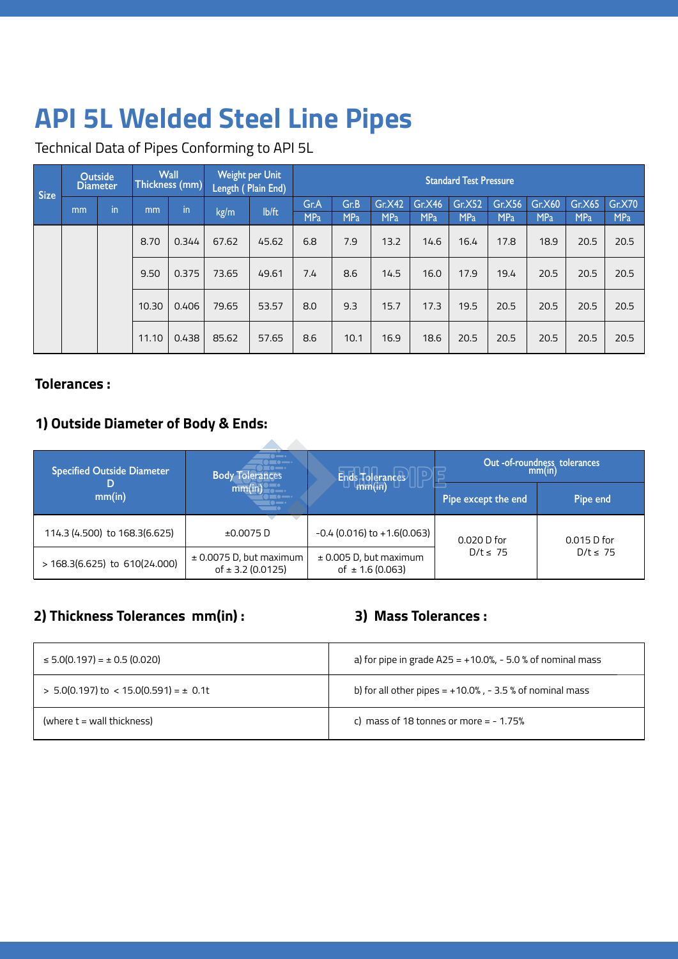Technical Data of Pipes Conforming to API 5L

| <b>Size</b> | <b>Outside</b><br>Diameter |                |      |               |       | Wall Weight per Unit<br>Thickness (mm) Length ( Plain End) |                    |             |                           |            | <b>Standard Test Pressure</b> |      |                                                            |      |                 |
|-------------|----------------------------|----------------|------|---------------|-------|------------------------------------------------------------|--------------------|-------------|---------------------------|------------|-------------------------------|------|------------------------------------------------------------|------|-----------------|
|             | mm                         | $\blacksquare$ | mm   | $\mathsf{in}$ | kg/m  | lb/ft                                                      | Gr.A<br><b>MPa</b> | Gr.B<br>MPa | Gr.X42<br>MP <sub>a</sub> | <b>MPa</b> | MPa                           | MPa  | Gr.X46   Gr.X52   Gr.X56   Gr.X60   Gr.X65   Gr.X70<br>MPa | MPa  | $M_{\text{Pa}}$ |
|             |                            |                | 8.70 | 0.344         | 67.62 | 45.62                                                      | 6.8                | 7.9         | 13.2                      | 14.6       | 16.4                          | 17.8 | 18.9                                                       | 20.5 | 20.5            |
|             |                            |                |      | 9.50   0.375  | 73.65 | 49.61                                                      | 7.4                | 8.6         | 14.5                      | 16.0       | 17.9                          | 19.4 | 20.5                                                       | 20.5 | 20.5            |
|             |                            |                |      | 10.30   0.406 | 79.65 | 53.57                                                      | 8.0                | 9.3         | 15.7                      | 17.3       | 19.5                          | 20.5 | 20.5                                                       | 20.5 | 20.5            |
|             |                            |                |      | 11.10   0.438 | 85.62 | 57.65                                                      | 8.6                | 10.1        | 16.9                      | 18.6       | 20.5                          | 20.5 | 20.5                                                       | 20.5 | 20.5            |

### **Tolerances :**

## **1) Outside Diameter of Body & Ends:**

| <b>Specified Outside Diameter</b> | $\blacksquare$<br>. .<br><b>Body Tolerances</b>              | $\mathsf{Ends}$ Tolerances                         |                     | Out -of-roundness tolerances<br>mm(in) |
|-----------------------------------|--------------------------------------------------------------|----------------------------------------------------|---------------------|----------------------------------------|
| D<br>mm(in)                       | .mm(in)<br>$\blacksquare \bullet \blacksquare \bullet$<br>•= |                                                    | Pipe except the end | Pipe end                               |
| 114.3 (4.500) to 168.3 (6.625)    | ±0.0075D                                                     | $-0.4$ (0.016) to $+1.6$ (0.063)                   | $0.020$ D for       | $0.015$ D for                          |
| $> 168.3(6.625)$ to 610(24.000)   | $\pm$ 0.0075 D, but maximum<br>of $\pm$ 3.2 (0.0125)         | $\pm$ 0.005 D, but maximum<br>of $\pm$ 1.6 (0.063) | $D/t \leq 75$       | $D/t \leq 75$                          |

## **2) Thickness Tolerances mm(in) : 3) Mass Tolerances :**

| $\leq 5.0(0.197) = \pm 0.5(0.020)$             | a) for pipe in grade $A25 = +10.0\%$ , - 5.0 % of nominal mass |
|------------------------------------------------|----------------------------------------------------------------|
| $>$ 5.0(0.197) to $<$ 15.0(0.591) = $\pm$ 0.1t | b) for all other pipes = $+10.0\%$ , - 3.5 % of nominal mass   |
| (where $t =$ wall thickness)                   | c) mass of 18 tonnes or more = $-1.75%$                        |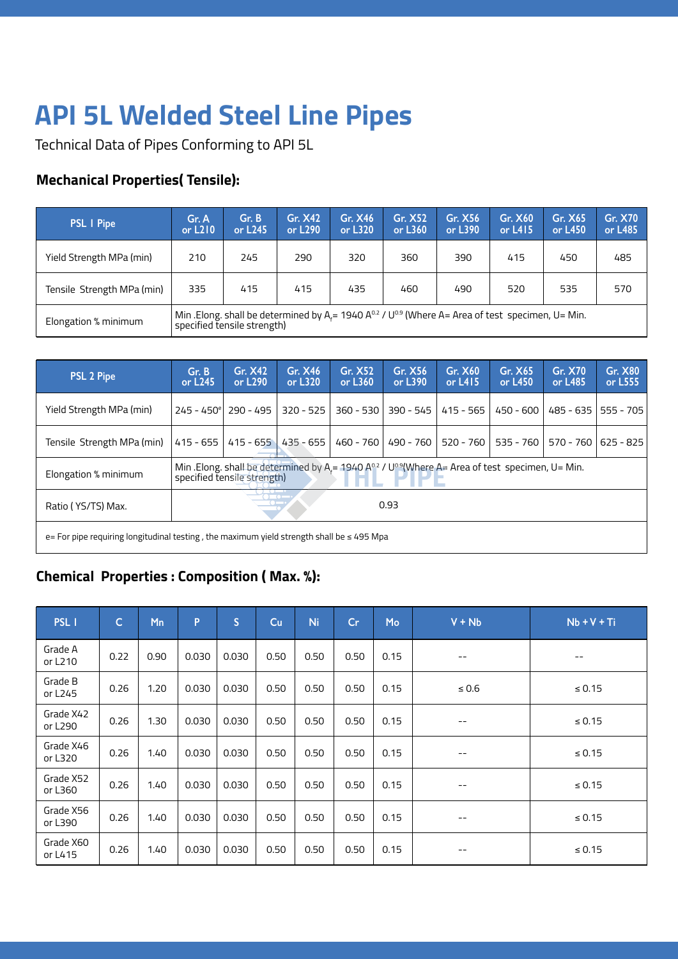Technical Data of Pipes Conforming to API 5L

## **Mechanical Properties( Tensile):**

| <b>PSL I Pipe</b>          | Gr. A<br>or L <sub>210</sub> | Gr. B<br>or L245            | Gr. X42<br>or L290                                                                                                                   | <b>Gr. X46</b><br>or L320 | Gr. X52<br>or L360 | Gr. X56<br>or L390 | Gr. X60<br>or $L415$ | Gr. X65<br>or L450 | <b>Gr. X70</b><br>or L485 |
|----------------------------|------------------------------|-----------------------------|--------------------------------------------------------------------------------------------------------------------------------------|---------------------------|--------------------|--------------------|----------------------|--------------------|---------------------------|
| Yield Strength MPa (min)   | 210                          | 245                         | 290                                                                                                                                  | 320                       | 360                | 390                | 415                  | 450                | 485                       |
| Tensile Strength MPa (min) | 335                          | 415                         | 415                                                                                                                                  | 435                       | 460                | 490                | 520                  | 535                | 570                       |
| Elongation % minimum       |                              | specified tensile strength) | Min .Elong. shall be determined by $A_{\epsilon}$ = 1940 A <sup>02</sup> / U <sup>0.9</sup> (Where A= Area of test specimen, U= Min. |                           |                    |                    |                      |                    |                           |

| <b>PSL 2 Pipe</b>                                                                               | Gr. B<br>or L245 | Gr. X42<br>or L290                   | Gr. X46<br>or L320 | <b>Gr. X52</b><br>or L360 $\,$                                                                                                      | Gr. X56<br>or L390 | Gr. X60<br>or $L415$ | Gr. X65<br>or L450 | <b>Gr. X70</b><br>or L485 | <b>Gr. X80</b><br>or L555 |
|-------------------------------------------------------------------------------------------------|------------------|--------------------------------------|--------------------|-------------------------------------------------------------------------------------------------------------------------------------|--------------------|----------------------|--------------------|---------------------------|---------------------------|
| Yield Strength MPa (min)                                                                        |                  | $245 - 450$ <sup>e</sup>   290 - 495 | $320 - 525$        | $360 - 530$                                                                                                                         | $390 - 545$        | $415 - 565$          | $450 - 600$        |                           | 485 - 635   555 - 705     |
| Tensile Strength MPa (min)                                                                      | $415 - 655$      | $415 - 655$                          | 435 - 655          | 460 - 760                                                                                                                           | 490 - 760          | $520 - 760$          | 535 - 760          |                           | 570 - 760   625 - 825     |
| Elongation % minimum                                                                            |                  | specified tensile strength)          |                    | Min .Elong. shall be determined by A <sub>i</sub> = 1940 A <sup>o2</sup> / U <sup>o9</sup> (Where A= Area of test specimen, U= Min. |                    |                      |                    |                           |                           |
| Ratio (YS/TS) Max.                                                                              |                  |                                      | <b>TAXABLE</b>     |                                                                                                                                     | 0.93               |                      |                    |                           |                           |
| e = For pipe requiring longitudinal testing, the maximum yield strength shall be $\leq 495$ Mpa |                  |                                      |                    |                                                                                                                                     |                    |                      |                    |                           |                           |

## **Chemical Properties : Composition ( Max. %):**

| PSL I                | C    | Mn   | D     | э     | Cu   | <b>Ni</b> | Cr   | Mo   | $V + Nb$                 | $Nb + V + Ti$ |
|----------------------|------|------|-------|-------|------|-----------|------|------|--------------------------|---------------|
| Grade A<br>or L210   | 0.22 | 0.90 | 0.030 | 0.030 | 0.50 | 0.50      | 0.50 | 0.15 | $\overline{\phantom{m}}$ | $ -$          |
| Grade B<br>or L245   | 0.26 | 1.20 | 0.030 | 0.030 | 0.50 | 0.50      | 0.50 | 0.15 | $\leq 0.6$               | $\leq 0.15$   |
| Grade X42<br>or L290 | 0.26 | 1.30 | 0.030 | 0.030 | 0.50 | 0.50      | 0.50 | 0.15 | $\overline{\phantom{m}}$ | $\leq 0.15$   |
| Grade X46<br>or L320 | 0.26 | 1.40 | 0.030 | 0.030 | 0.50 | 0.50      | 0.50 | 0.15 | $\qquad \qquad -$        | $\leq 0.15$   |
| Grade X52<br>or L360 | 0.26 | 1.40 | 0.030 | 0.030 | 0.50 | 0.50      | 0.50 | 0.15 | $\qquad \qquad -$        | $\leq 0.15$   |
| Grade X56<br>or L390 | 0.26 | 1.40 | 0.030 | 0.030 | 0.50 | 0.50      | 0.50 | 0.15 | $\qquad \qquad -$        | $\leq 0.15$   |
| Grade X60<br>or L415 | 0.26 | 1.40 | 0.030 | 0.030 | 0.50 | 0.50      | 0.50 | 0.15 | $\qquad \qquad -$        | $\leq 0.15$   |